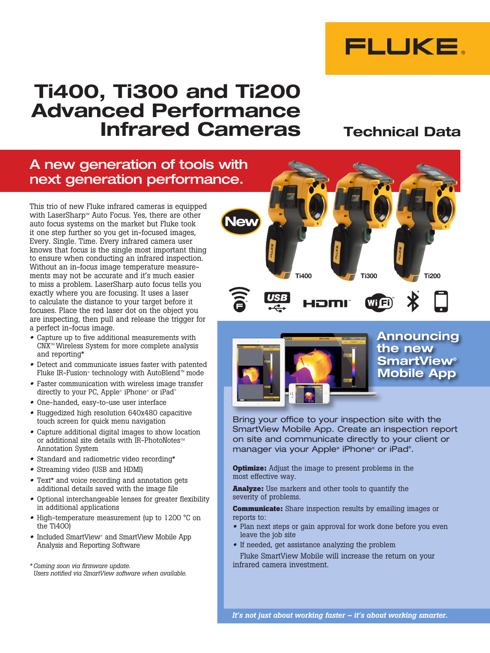

# Ti400, Ti300 and Ti200 Advanced Performance Infrared Cameras

## Technical Data

## A new generation of tools with next generation performance.

This trio of new Fluke infrared cameras is equipped with LaserSharp<sup> $M$ </sup> Auto Focus. Yes, there are other auto focus systems on the market but Fluke took it one step further so you get in-focused images, Every. Single. Time. Every infrared camera user knows that focus is the single most important thing to ensure when conducting an infrared inspection. Without an in-focus image temperature measurements may not be accurate and it's much easier to miss a problem. LaserSharp auto focus tells you exactly where you are focusing. It uses a laser to calculate the distance to your target before it focuses. Place the red laser dot on the object you are inspecting, then pull and release the trigger for a perfect in-focus image.

- Capture up to five additional measurements with CNX<sup>™</sup> Wireless System for more complete analysis and reporting\*
- Detect and communicate issues faster with patented Fluke IR-Fusion® technology with AutoBlend™ mode
- Faster communication with wireless image transfer directly to your PC, Apple® iPhone® or iPad®
- One-handed, easy-to-use user interface
- Ruggedized high resolution 640x480 capacitive touch screen for quick menu navigation
- Capture additional digital images to show location or additional site details with IR-PhotoNotes $\mathbb{R}$ Annotation System
- Standard and radiometric video recording\*
- Streaming video (USB and HDMI)
- Text\* and voice recording and annotation gets additional details saved with the image file
- Optional interchangeable lenses for greater flexibility in additional applications
- High-temperature measurement (up to 1200 °C on the Ti400)
- Included SmartView<sup>®</sup> and SmartView Mobile App Analysis and Reporting Software

*\* Coming soon via firmware update. Users notified via SmartView software when available.* 



Iom



**Announcing** the new **SmartView®** Mobile App

Bring your office to your inspection site with the SmartView Mobile App. Create an inspection report on site and communicate directly to your client or manager via your Apple® iPhone® or iPad®.

**Optimize:** Adjust the image to present problems in the most effective way.

**Analyze:** Use markers and other tools to quantify the severity of problems.

**Communicate:** Share inspection results by emailing images or reports to:

- Plan next steps or gain approval for work done before you even leave the job site
- If needed, get assistance analyzing the problem

Fluke SmartView Mobile will increase the return on your infrared camera investment.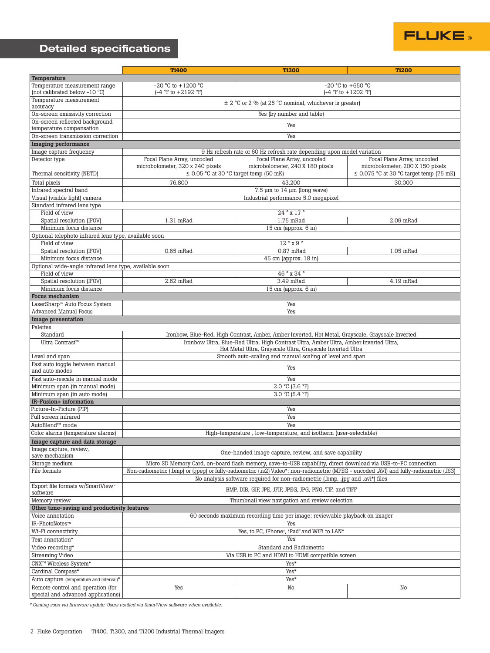## Detailed specifications

|                                                        | <b>Ti400</b>                                                                                                  | <b>Ti300</b>                                                                                                                             | <b>Ti200</b>                                 |  |
|--------------------------------------------------------|---------------------------------------------------------------------------------------------------------------|------------------------------------------------------------------------------------------------------------------------------------------|----------------------------------------------|--|
| Temperature                                            |                                                                                                               |                                                                                                                                          |                                              |  |
| Temperature measurement range                          | $-20$ °C to $+1200$ °C<br>$-20$ °C to $+650$ °C                                                               |                                                                                                                                          |                                              |  |
| (not calibrated below -10 °C)                          | $(-4 °F to + 1202 °F)$<br>$(-4 \degree F \text{ to } +2192 \degree F)$                                        |                                                                                                                                          |                                              |  |
| Temperature measurement<br>accuracy                    | $\pm$ 2 °C or 2 % (at 25 °C nominal, whichever is greater)                                                    |                                                                                                                                          |                                              |  |
| On-screen emissivity correction                        | Yes (by number and table)                                                                                     |                                                                                                                                          |                                              |  |
| On-screen reflected background                         |                                                                                                               |                                                                                                                                          |                                              |  |
| temperature compensation                               | Yes                                                                                                           |                                                                                                                                          |                                              |  |
| On-screen transmission correction                      | Yes                                                                                                           |                                                                                                                                          |                                              |  |
| <b>Imaging performance</b>                             |                                                                                                               |                                                                                                                                          |                                              |  |
| Image capture frequency                                |                                                                                                               | 9 Hz refresh rate or 60 Hz refresh rate depending upon model variation                                                                   |                                              |  |
| Detector type                                          | Focal Plane Array, uncooled                                                                                   | Focal Plane Array, uncooled                                                                                                              | Focal Plane Array, uncooled                  |  |
|                                                        | microbolometer, 320 x 240 pixels                                                                              | microbolometer, 240 X 180 pixels                                                                                                         | microbolometer, 200 X 150 pixels             |  |
| Thermal sensitivity (NETD)                             | $\leq$ 0.05 °C at 30 °C target temp (50 mK)                                                                   |                                                                                                                                          | $\leq$ 0.075 °C at 30 °C target temp (75 mK) |  |
| Total pixels                                           | 43,200<br>30,000<br>76,800                                                                                    |                                                                                                                                          |                                              |  |
| Infrared spectral band                                 | $7.5 \mu m$ to $14 \mu m$ (long wave)                                                                         |                                                                                                                                          |                                              |  |
| Visual (visible light) camera                          | Industrial performance 5.0 megapixel                                                                          |                                                                                                                                          |                                              |  |
| Standard infrared lens type                            |                                                                                                               |                                                                                                                                          |                                              |  |
| Field of view                                          |                                                                                                               | $24°$ x 17°                                                                                                                              |                                              |  |
| Spatial resolution (IFOV)                              | 1.31 mRad                                                                                                     | 1.75 mRad                                                                                                                                | 2.09 mRad                                    |  |
| Minimum focus distance                                 |                                                                                                               | 15 cm (approx. 6 in)                                                                                                                     |                                              |  |
| Optional telephoto infrared lens type, available soon  |                                                                                                               |                                                                                                                                          |                                              |  |
| 12°x9°<br>Field of view                                |                                                                                                               |                                                                                                                                          |                                              |  |
| Spatial resolution (IFOV)                              | $0.65$ mRad                                                                                                   | $0.87$ mRad                                                                                                                              | 1.05 mRad                                    |  |
| Minimum focus distance                                 |                                                                                                               | 45 cm (approx. 18 in)                                                                                                                    |                                              |  |
| Optional wide-angle infrared lens type, available soon |                                                                                                               |                                                                                                                                          |                                              |  |
| Field of view                                          | 46° x 34°                                                                                                     |                                                                                                                                          |                                              |  |
| Spatial resolution (IFOV)                              | 2.62 mRad                                                                                                     | 3.49 mRad                                                                                                                                | 4.19 mRad                                    |  |
| Minimum focus distance                                 |                                                                                                               | 15 cm (approx. 6 in)                                                                                                                     |                                              |  |
| Focus mechanism                                        |                                                                                                               |                                                                                                                                          |                                              |  |
| LaserSharp <sup>™</sup> Auto Focus System              | Yes                                                                                                           |                                                                                                                                          |                                              |  |
| <b>Advanced Manual Focus</b>                           | Yes                                                                                                           |                                                                                                                                          |                                              |  |
| <b>Image presentation</b>                              |                                                                                                               |                                                                                                                                          |                                              |  |
| Palettes                                               |                                                                                                               |                                                                                                                                          |                                              |  |
| Standard                                               |                                                                                                               | Ironbow, Blue-Red, High Contrast, Amber, Amber Inverted, Hot Metal, Grayscale, Grayscale Inverted                                        |                                              |  |
| Ultra Contrast™                                        | Ironbow Ultra, Blue-Red Ultra, High Contrast Ultra, Amber Ultra, Amber Inverted Ultra,                        |                                                                                                                                          |                                              |  |
|                                                        | Hot Metal Ultra, Grayscale Ultra, Grayscale Inverted Ultra                                                    |                                                                                                                                          |                                              |  |
| Level and span                                         | Smooth auto-scaling and manual scaling of level and span                                                      |                                                                                                                                          |                                              |  |
| Fast auto toggle between manual                        |                                                                                                               |                                                                                                                                          |                                              |  |
| and auto modes                                         | Yes                                                                                                           |                                                                                                                                          |                                              |  |
| Fast auto-rescale in manual mode                       | Yes                                                                                                           |                                                                                                                                          |                                              |  |
| Minimum span (in manual mode)                          | 2.0 °C (3.6 °F)                                                                                               |                                                                                                                                          |                                              |  |
| Minimum span (in auto mode)                            | 3.0 °C (5.4 °F)                                                                                               |                                                                                                                                          |                                              |  |
| IR-Fusion <sup>®</sup> information                     |                                                                                                               |                                                                                                                                          |                                              |  |
| Picture-In-Picture (PIP)                               | Yes                                                                                                           |                                                                                                                                          |                                              |  |
| Full screen infrared                                   | Yes                                                                                                           |                                                                                                                                          |                                              |  |
| AutoBlend™ mode                                        | Yes                                                                                                           |                                                                                                                                          |                                              |  |
| Color alarms (temperature alarms)                      | High-temperature, low-temperature, and isotherm (user-selectable)                                             |                                                                                                                                          |                                              |  |
| Image capture and data storage                         |                                                                                                               |                                                                                                                                          |                                              |  |
| Image capture, review,                                 |                                                                                                               |                                                                                                                                          |                                              |  |
| save mechanism                                         | One-handed image capture, review, and save capability                                                         |                                                                                                                                          |                                              |  |
| Storage medium                                         | Micro SD Memory Card, on-board flash memory, save-to-USB capability, direct download via USB-to-PC connection |                                                                                                                                          |                                              |  |
| File formats                                           |                                                                                                               | Non-radiometric (.bmp) or (.jpeq) or fully-radiometric (.js2) Video*: non-radiometric (MPEG - encoded .AVI) and fully-radiometric (.IS3) |                                              |  |
|                                                        |                                                                                                               | No analysis software required for non-radiometric (.bmp, .jpq and .avi*) files                                                           |                                              |  |
| Export file formats w/SmartView*                       |                                                                                                               |                                                                                                                                          |                                              |  |
| software                                               | BMP, DIB, GIF, JPE, JFIF, JPEG, JPG, PNG, TIF, and TIFF                                                       |                                                                                                                                          |                                              |  |
| Memory review                                          |                                                                                                               | Thumbnail view navigation and review selection                                                                                           |                                              |  |
| Other time-saving and productivity features            |                                                                                                               |                                                                                                                                          |                                              |  |
| Voice annotation                                       |                                                                                                               | 60 seconds maximum recording time per image; reviewable playback on imager                                                               |                                              |  |
| IR-PhotoNotes™                                         | Yes                                                                                                           |                                                                                                                                          |                                              |  |
| Wi-Fi connectivity                                     | Yes, to PC, iPhone*, iPad* and WiFi to LAN*                                                                   |                                                                                                                                          |                                              |  |
| Text annotation*                                       | Yes                                                                                                           |                                                                                                                                          |                                              |  |
| Video recording*                                       | Standard and Radiometric                                                                                      |                                                                                                                                          |                                              |  |
| <b>Streaming Video</b>                                 | Via USB to PC and HDMI to HDMI compatible screen                                                              |                                                                                                                                          |                                              |  |
| CNX™ Wireless System*                                  | Yes*                                                                                                          |                                                                                                                                          |                                              |  |
| Cardinal Compass*                                      | Yes*                                                                                                          |                                                                                                                                          |                                              |  |
| Auto capture (temperature and interval)*               |                                                                                                               | Yes*                                                                                                                                     |                                              |  |
| Remote control and operation (for                      | Yes                                                                                                           | No                                                                                                                                       | No                                           |  |
| special and advanced applications)                     |                                                                                                               |                                                                                                                                          |                                              |  |
|                                                        |                                                                                                               |                                                                                                                                          |                                              |  |

**FLUKE** 

*\* Coming soon via firmware update. Users notified via SmartView software when available.*